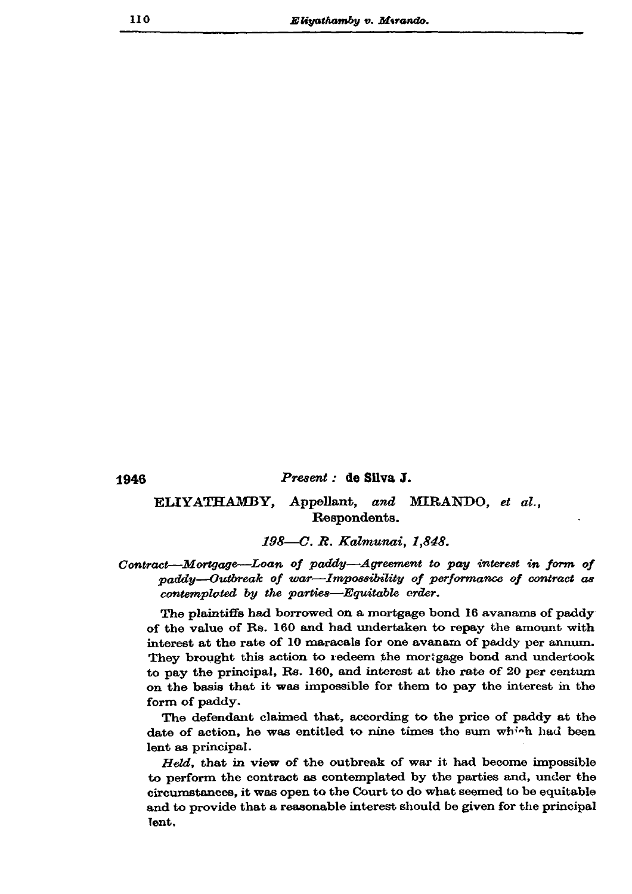1946

## Present : de Silva J.

## ELIYATHAMBY, Appellant, and MIRANDO, et al., Respondents.

198—C. R. Kalmunai, 1,848.

Contract-Mortgage-Loan of paddy-Agreement to pay interest in form of paddy--Outbreak of war--Impossibility of performance of contract as contemploted by the parties—Equitable crder.

The plaintiffs had borrowed on a mortgage bond 16 avanams of paddy of the value of Rs. 160 and had undertaken to repay the amount with interest at the rate of 10 maracals for one avanam of paddy per annum. They brought this action to redeem the mortgage bond and undertook to pay the principal, Rs. 160, and interest at the rate of 20 per centum on the basis that it was impossible for them to pay the interest in the form of paddy.

The defendant claimed that, according to the price of paddy at the date of action, he was entitled to nine times the sum which had been lent as principal.

Held, that in view of the outbreak of war it had become impossible to perform the contract as contemplated by the parties and, under the circumstances, it was open to the Court to do what seemed to be equitable and to provide that a reasonable interest should be given for the principal lent.